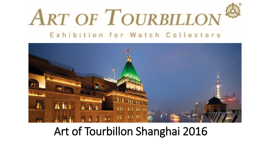



### Art of Tourbillon Shanghai 2016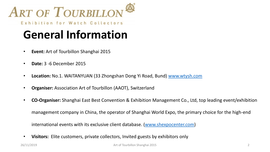

### **General Information**

- **Event:** Art of Tourbillon Shanghai 2015
- **Date:** 3 -6 December 2015
- **Location:** No.1. WAITANYUAN (33 Zhongshan Dong Yi Road, Bund) [www.wtysh.com](http://www.wtysh.com/)
- **Organiser:** Association Art of Tourbillon (AAOT), Switzerland
- **CO-Organiser:** Shanghai East Best Convention & Exhibition Management Co., Ltd, top leading event/exhibition

management company in China, the operator of Shanghai World Expo, the primary choice for the high-end

international events with its exclusive client database. [\(www.shexpocenter.com\)](http://www.shexpocenter.com/)

• **Visitors:** Elite customers, private collectors, Invited guests by exhibitors only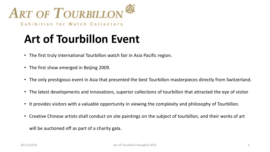

# **Art of Tourbillon Event**

- The first truly international Tourbillon watch fair in Asia Pacific region.
- The first show emerged in Beijing 2009.
- The only prestigious event in Asia that presented the best Tourbillon masterpieces directly from Switzerland.
- The latest developments and innovations, superior collections of tourbillon that attracted the eye of visitor
- It provides visitors with a valuable opportunity in viewing the complexity and philosophy of Tourbillon.
- Creative Chinese artists shall conduct on site paintings on the subject of tourbillon, and their works of art

will be auctioned off as part of a charity gala.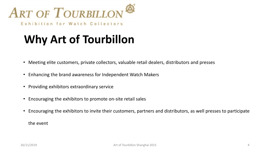

# **Why Art of Tourbillon**

- Meeting elite customers, private collectors, valuable retail dealers, distributors and presses
- Enhancing the brand awareness for Independent Watch Makers
- Providing exhibitors extraordinary service
- Encouraging the exhibitors to promote on-site retail sales
- Encouraging the exhibitors to invite their customers, partners and distributors, as well presses to participate

the event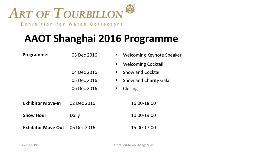

### **AAOT Shanghai 2016 Programme**

| Programme:                | 03 Dec 2016 | Welcoming Keynote Speaker         |
|---------------------------|-------------|-----------------------------------|
|                           |             | <b>Welcoming Cocktail</b>         |
|                           | 04 Dec 2016 | <b>Show and Cocktail</b><br>п     |
|                           | 05 Dec 2016 | <b>Show and Charity Gala</b><br>Е |
|                           | 06 Dec 2016 | Closing                           |
|                           |             |                                   |
| <b>Exhibitor Move-In</b>  | 02 Dec 2016 | 16:00-18:00                       |
| <b>Show Hour</b>          | Daily       | 10:00-19:00                       |
| <b>Exhibitor Move Out</b> | 06 Dec 2016 | 15:00-17:00                       |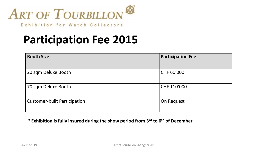

Exhibition for Watch Collectors

# **Participation Fee 2015**

| <b>Booth Size</b>                   | <b>Participation Fee</b> |
|-------------------------------------|--------------------------|
| 20 sqm Deluxe Booth                 | CHF 60'000               |
| 70 sqm Deluxe Booth                 | CHF 110'000              |
| <b>Customer-built Participation</b> | On Request               |

#### **\* Exhibition is fully insured during the show period from 3rd to 6th of December**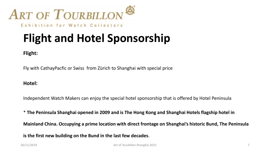

Exhibition for Watch Collectors

# **Flight and Hotel Sponsorship**

**Flight:**

Fly with CathayPacfic or Swiss from Zürich to Shanghai with special price

#### **Hotel:**

Independent Watch Makers can enjoy the special hotel sponsorship that is offered by Hotel Peninsula

\* **The Peninsula Shanghai opened in 2009 and is The Hong Kong and Shanghai Hotels flagship hotel in** 

**Mainland China. Occupying a prime location with direct frontage on Shanghai's historic Bund, The Peninsula** 

**is the first new building on the Bund in the last few decades**.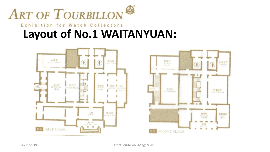

### Exhibition for Watch Collectors **Layout of No.1 WAITANYUAN:**

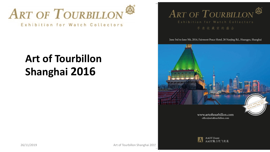

### **Art of Tourbillon Shanghai 2016**



June 3rd to June 5th, 2016, Fairmont Peace Hotel, 20 Nanjing Rd., Huangpu, Shanghai



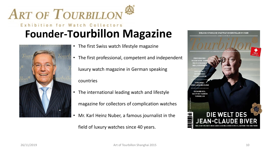



- The first Swiss watch lifestyle magazine
- The first professional, competent and independent

luxury watch magazine in German speaking

countries

- The international leading watch and lifestyle
	- magazine for collectors of complication watches
- Mr. Karl Heinz Nuber, a famous journalist in the

field of luxury watches since 40 years.